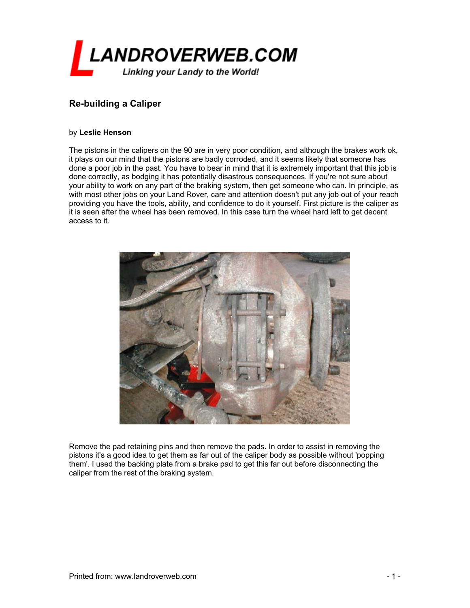

## **Re-building a Caliper**

## by **Leslie Henson**

The pistons in the calipers on the 90 are in very poor condition, and although the brakes work ok, it plays on our mind that the pistons are badly corroded, and it seems likely that someone has done a poor job in the past. You have to bear in mind that it is extremely important that this job is done correctly, as bodging it has potentially disastrous consequences. If you're not sure about your ability to work on any part of the braking system, then get someone who can. In principle, as with most other jobs on your Land Rover, care and attention doesn't put any job out of your reach providing you have the tools, ability, and confidence to do it yourself. First picture is the caliper as it is seen after the wheel has been removed. In this case turn the wheel hard left to get decent access to it.



Remove the pad retaining pins and then remove the pads. In order to assist in removing the pistons it's a good idea to get them as far out of the caliper body as possible without 'popping them'. I used the backing plate from a brake pad to get this far out before disconnecting the caliper from the rest of the braking system.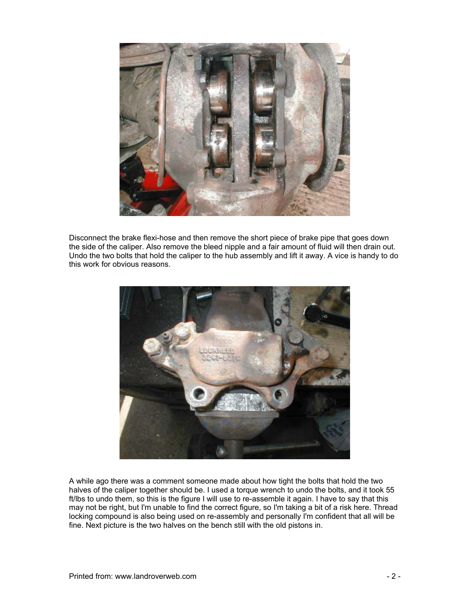

Disconnect the brake flexi-hose and then remove the short piece of brake pipe that goes down the side of the caliper. Also remove the bleed nipple and a fair amount of fluid will then drain out. Undo the two bolts that hold the caliper to the hub assembly and lift it away. A vice is handy to do this work for obvious reasons.



A while ago there was a comment someone made about how tight the bolts that hold the two halves of the caliper together should be. I used a torque wrench to undo the bolts, and it took 55 ft/lbs to undo them, so this is the figure I will use to re-assemble it again. I have to say that this may not be right, but I'm unable to find the correct figure, so I'm taking a bit of a risk here. Thread locking compound is also being used on re-assembly and personally I'm confident that all will be fine. Next picture is the two halves on the bench still with the old pistons in.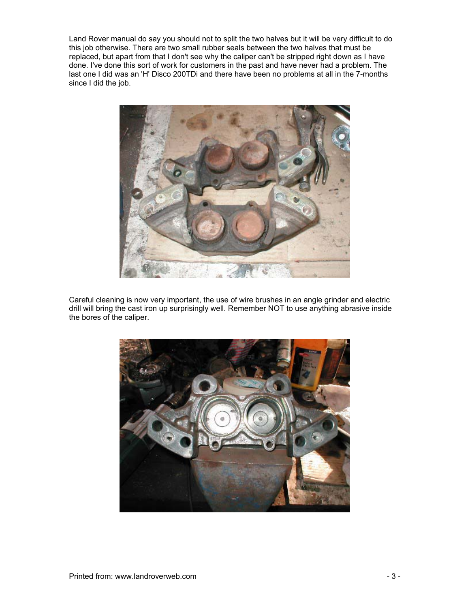Land Rover manual do say you should not to split the two halves but it will be very difficult to do this job otherwise. There are two small rubber seals between the two halves that must be replaced, but apart from that I don't see why the caliper can't be stripped right down as I have done. I've done this sort of work for customers in the past and have never had a problem. The last one I did was an 'H' Disco 200TDi and there have been no problems at all in the 7-months since I did the job.



Careful cleaning is now very important, the use of wire brushes in an angle grinder and electric drill will bring the cast iron up surprisingly well. Remember NOT to use anything abrasive inside the bores of the caliper.

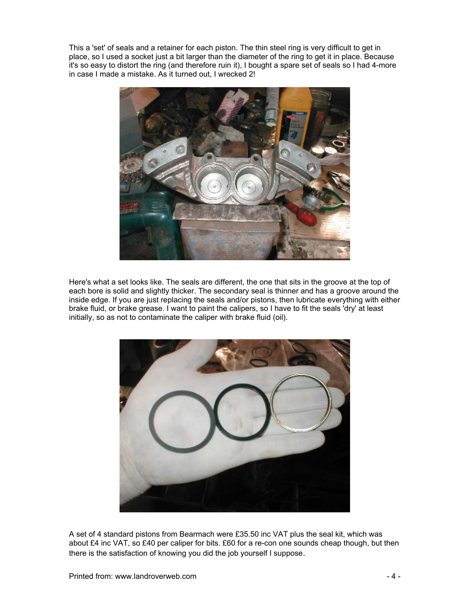This a 'set' of seals and a retainer for each piston. The thin steel ring is very difficult to get in place, so I used a socket just a bit larger than the diameter of the ring to get it in place. Because it's so easy to distort the ring (and therefore ruin it), I bought a spare set of seals so I had 4-more in case I made a mistake. As it turned out, I wrecked 2!



Here's what a set looks like. The seals are different, the one that sits in the groove at the top of each bore is solid and slightly thicker. The secondary seal is thinner and has a groove around the inside edge. If you are just replacing the seals and/or pistons, then lubricate everything with either brake fluid, or brake grease. I want to paint the calipers, so I have to fit the seals 'dry' at least initially, so as not to contaminate the caliper with brake fluid (oil).



A set of 4 standard pistons from Bearmach were £35.50 inc VAT plus the seal kit, which was about £4 inc VAT, so £40 per caliper for bits. £60 for a re-con one sounds cheap though, but then there is the satisfaction of knowing you did the job yourself I suppose.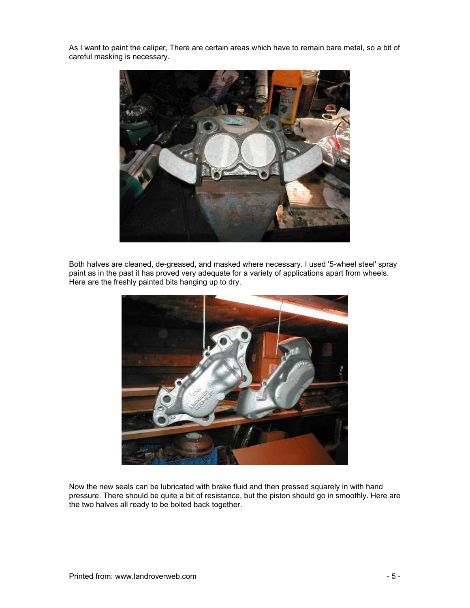As I want to paint the caliper, There are certain areas which have to remain bare metal, so a bit of careful masking is necessary.



Both halves are cleaned, de-greased, and masked where necessary. I used '5-wheel steel' spray paint as in the past it has proved very adequate for a variety of applications apart from wheels. Here are the freshly painted bits hanging up to dry.



Now the new seals can be lubricated with brake fluid and then pressed squarely in with hand pressure. There should be quite a bit of resistance, but the piston should go in smoothly. Here are the two halves all ready to be bolted back together.